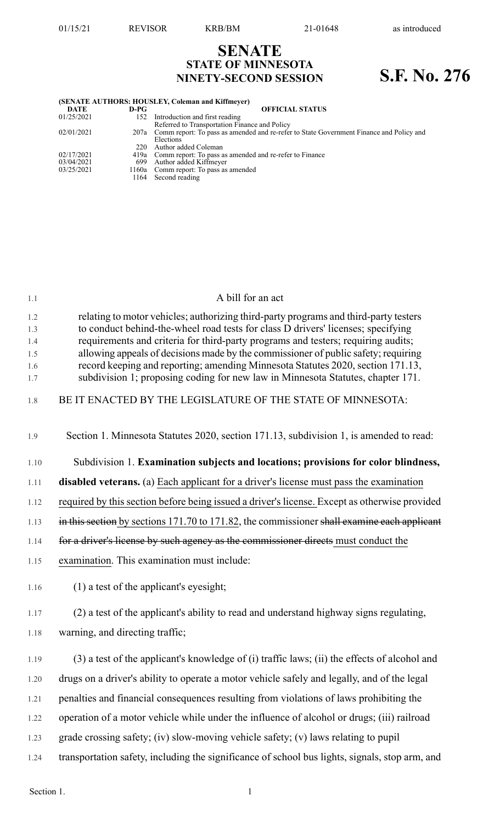## **SENATE STATE OF MINNESOTA NINETY-SECOND SESSION S.F. No. 276**

| (SENATE AUTHORS: HOUSLEY, Coleman and Kiffmeyer) |      |                                                                                              |  |  |
|--------------------------------------------------|------|----------------------------------------------------------------------------------------------|--|--|
| DATE                                             | D-PG | <b>OFFICIAL STATUS</b>                                                                       |  |  |
| 01/25/2021                                       | 152  | Introduction and first reading                                                               |  |  |
|                                                  |      | Referred to Transportation Finance and Policy                                                |  |  |
| 02/01/2021                                       |      | 207a Comm report: To pass as amended and re-refer to State Government Finance and Policy and |  |  |
|                                                  |      | Elections                                                                                    |  |  |
|                                                  | 220  | Author added Coleman                                                                         |  |  |
| 02/17/2021                                       |      | 419a Comm report: To pass as amended and re-refer to Finance                                 |  |  |
| 03/04/2021                                       | 699  | Author added Kiffmeyer                                                                       |  |  |
| 03/25/2021                                       |      | 1160a Comm report: To pass as amended                                                        |  |  |
|                                                  | 1164 | Second reading                                                                               |  |  |
|                                                  |      |                                                                                              |  |  |

| 1.1        | A bill for an act                                                                                                                                                        |
|------------|--------------------------------------------------------------------------------------------------------------------------------------------------------------------------|
| 1.2<br>1.3 | relating to motor vehicles; authorizing third-party programs and third-party testers<br>to conduct behind-the-wheel road tests for class D drivers' licenses; specifying |
| 1.4<br>1.5 | requirements and criteria for third-party programs and testers; requiring audits;<br>allowing appeals of decisions made by the commissioner of public safety; requiring  |
| 1.6        | record keeping and reporting; amending Minnesota Statutes 2020, section 171.13,                                                                                          |
| 1.7        | subdivision 1; proposing coding for new law in Minnesota Statutes, chapter 171.                                                                                          |
| 1.8        | BE IT ENACTED BY THE LEGISLATURE OF THE STATE OF MINNESOTA:                                                                                                              |
| 1.9        | Section 1. Minnesota Statutes 2020, section 171.13, subdivision 1, is amended to read:                                                                                   |
| 1.10       | Subdivision 1. Examination subjects and locations; provisions for color blindness,                                                                                       |
| 1.11       | disabled veterans. (a) Each applicant for a driver's license must pass the examination                                                                                   |
| 1.12       | required by this section before being issued a driver's license. Except as otherwise provided                                                                            |
| 1.13       | in this section by sections 171.70 to 171.82, the commissioner shall examine each applicant                                                                              |
| 1.14       | for a driver's license by such agency as the commissioner directs must conduct the                                                                                       |
| 1.15       | examination. This examination must include:                                                                                                                              |
| 1.16       | $(1)$ a test of the applicant's eyesight;                                                                                                                                |
| 1.17       | (2) a test of the applicant's ability to read and understand highway signs regulating,                                                                                   |
| 1.18       | warning, and directing traffic;                                                                                                                                          |
| 1.19       | (3) a test of the applicant's knowledge of (i) traffic laws; (ii) the effects of alcohol and                                                                             |
| 1.20       | drugs on a driver's ability to operate a motor vehicle safely and legally, and of the legal                                                                              |
| 1.21       | penalties and financial consequences resulting from violations of laws prohibiting the                                                                                   |
| 1.22       | operation of a motor vehicle while under the influence of alcohol or drugs; (iii) railroad                                                                               |
| 1.23       | grade crossing safety; (iv) slow-moving vehicle safety; (v) laws relating to pupil                                                                                       |
| 1.24       | transportation safety, including the significance of school bus lights, signals, stop arm, and                                                                           |
|            |                                                                                                                                                                          |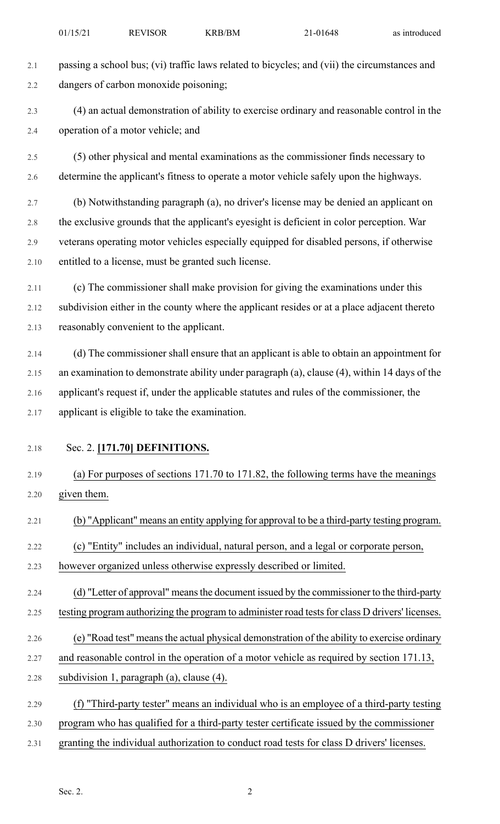2.1 passing a school bus; (vi) traffic laws related to bicycles; and (vii) the circumstances and 2.2 dangers of carbon monoxide poisoning; 2.3 (4) an actual demonstration of ability to exercise ordinary and reasonable control in the 2.4 operation of a motor vehicle; and 2.5 (5) other physical and mental examinations as the commissioner finds necessary to 2.6 determine the applicant's fitness to operate a motor vehicle safely upon the highways. 2.7 (b) Notwithstanding paragraph (a), no driver's license may be denied an applicant on 2.8 the exclusive grounds that the applicant's eyesight is deficient in color perception. War 2.9 veterans operating motor vehicles especially equipped for disabled persons, if otherwise 2.10 entitled to a license, must be granted such license. 2.11 (c) The commissioner shall make provision for giving the examinations under this 2.12 subdivision either in the county where the applicant resides or at a place adjacent thereto 2.13 reasonably convenient to the applicant. 2.14 (d) The commissioner shall ensure that an applicant is able to obtain an appointment for 2.15 an examination to demonstrate ability under paragraph (a), clause (4), within 14 days of the 2.16 applicant's request if, under the applicable statutes and rules of the commissioner, the 2.17 applicant is eligible to take the examination. 2.18 Sec. 2. **[171.70] DEFINITIONS.** 2.19 (a) For purposes of sections 171.70 to 171.82, the following terms have the meanings 2.20 given them. 2.21 (b) "Applicant" means an entity applying for approval to be a third-party testing program. 2.22 (c) "Entity" includes an individual, natural person, and a legal or corporate person, 2.23 however organized unless otherwise expressly described or limited. 2.24 (d) "Letter of approval" means the document issued by the commissioner to the third-party 2.25 testing program authorizing the program to administer road tests for class D drivers' licenses. 2.26 (e) "Road test" meansthe actual physical demonstration of the ability to exercise ordinary 2.27 and reasonable control in the operation of a motor vehicle as required by section 171.13, 2.28 subdivision 1, paragraph (a), clause (4). 2.29 (f) "Third-party tester" means an individual who is an employee of a third-party testing 2.30 program who has qualified for a third-party tester certificate issued by the commissioner 2.31 granting the individual authorization to conduct road tests for class D drivers' licenses.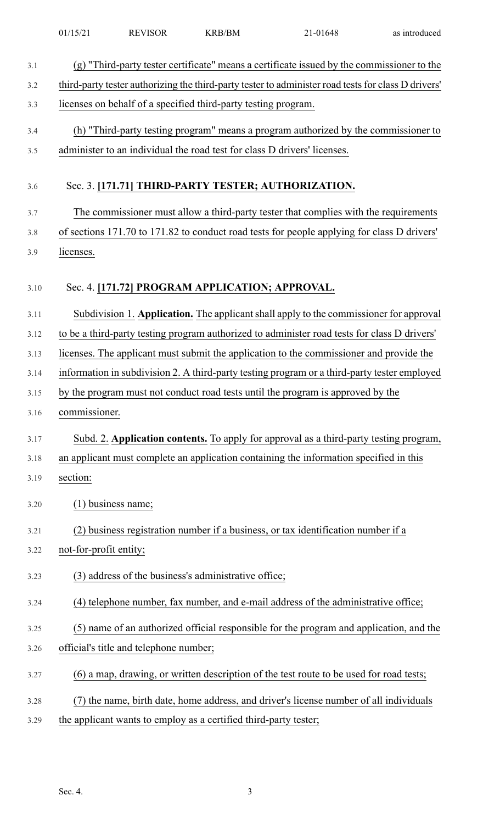| 3.1  | $(g)$ "Third-party tester certificate" means a certificate issued by the commissioner to the        |
|------|-----------------------------------------------------------------------------------------------------|
| 3.2  | third-party tester authorizing the third-party tester to administer road tests for class D drivers' |
| 3.3  | licenses on behalf of a specified third-party testing program.                                      |
| 3.4  | (h) "Third-party testing program" means a program authorized by the commissioner to                 |
| 3.5  | administer to an individual the road test for class D drivers' licenses.                            |
|      |                                                                                                     |
| 3.6  | Sec. 3. [171.71] THIRD-PARTY TESTER; AUTHORIZATION.                                                 |
| 3.7  | The commissioner must allow a third-party tester that complies with the requirements                |
| 3.8  | of sections 171.70 to 171.82 to conduct road tests for people applying for class D drivers'         |
| 3.9  | licenses.                                                                                           |
|      |                                                                                                     |
| 3.10 | Sec. 4. [171.72] PROGRAM APPLICATION; APPROVAL.                                                     |
| 3.11 | Subdivision 1. Application. The applicant shall apply to the commissioner for approval              |
| 3.12 | to be a third-party testing program authorized to administer road tests for class D drivers'        |
| 3.13 | licenses. The applicant must submit the application to the commissioner and provide the             |
| 3.14 | information in subdivision 2. A third-party testing program or a third-party tester employed        |
| 3.15 | by the program must not conduct road tests until the program is approved by the                     |
| 3.16 | commissioner.                                                                                       |
| 3.17 | Subd. 2. Application contents. To apply for approval as a third-party testing program,              |
| 3.18 | an applicant must complete an application containing the information specified in this              |
| 3.19 | section:                                                                                            |
| 3.20 | (1) business name;                                                                                  |
|      |                                                                                                     |
| 3.21 | (2) business registration number if a business, or tax identification number if a                   |
| 3.22 | not-for-profit entity;                                                                              |
| 3.23 | (3) address of the business's administrative office;                                                |
| 3.24 | (4) telephone number, fax number, and e-mail address of the administrative office;                  |
| 3.25 | (5) name of an authorized official responsible for the program and application, and the             |
| 3.26 | official's title and telephone number;                                                              |
| 3.27 | (6) a map, drawing, or written description of the test route to be used for road tests;             |
| 3.28 | (7) the name, birth date, home address, and driver's license number of all individuals              |
| 3.29 | the applicant wants to employ as a certified third-party tester;                                    |

01/15/21 REVISOR KRB/BM 21-01648 as introduced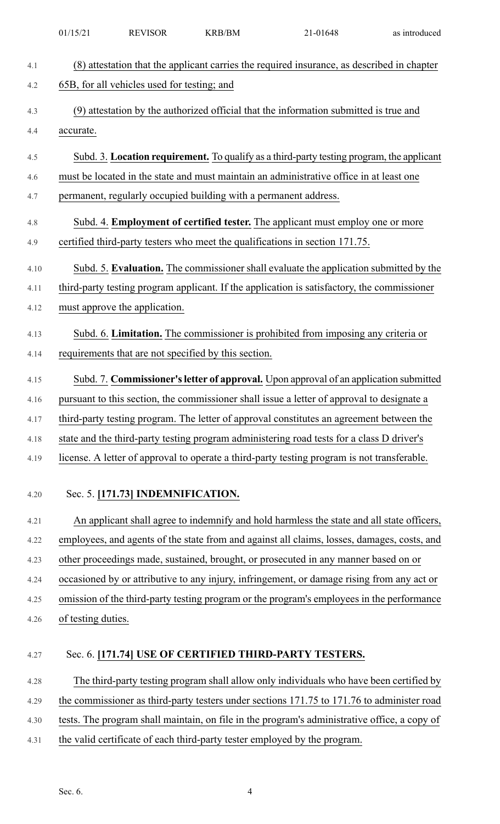|      | 01/15/21                                                                                  | <b>REVISOR</b>                              | <b>KRB/BM</b>                                                    | 21-01648                                                                                     | as introduced |
|------|-------------------------------------------------------------------------------------------|---------------------------------------------|------------------------------------------------------------------|----------------------------------------------------------------------------------------------|---------------|
| 4.1  |                                                                                           |                                             |                                                                  | (8) attestation that the applicant carries the required insurance, as described in chapter   |               |
| 4.2  |                                                                                           | 65B, for all vehicles used for testing; and |                                                                  |                                                                                              |               |
| 4.3  |                                                                                           |                                             |                                                                  | (9) attestation by the authorized official that the information submitted is true and        |               |
| 4.4  | accurate.                                                                                 |                                             |                                                                  |                                                                                              |               |
| 4.5  |                                                                                           |                                             |                                                                  | Subd. 3. Location requirement. To qualify as a third-party testing program, the applicant    |               |
| 4.6  |                                                                                           |                                             |                                                                  | must be located in the state and must maintain an administrative office in at least one      |               |
| 4.7  |                                                                                           |                                             | permanent, regularly occupied building with a permanent address. |                                                                                              |               |
| 4.8  |                                                                                           |                                             |                                                                  | Subd. 4. <b>Employment of certified tester.</b> The applicant must employ one or more        |               |
| 4.9  |                                                                                           |                                             |                                                                  | certified third-party testers who meet the qualifications in section 171.75.                 |               |
| 4.10 |                                                                                           |                                             |                                                                  | Subd. 5. Evaluation. The commissioner shall evaluate the application submitted by the        |               |
| 4.11 |                                                                                           |                                             |                                                                  | third-party testing program applicant. If the application is satisfactory, the commissioner  |               |
| 4.12 |                                                                                           | must approve the application.               |                                                                  |                                                                                              |               |
| 4.13 |                                                                                           |                                             |                                                                  | Subd. 6. Limitation. The commissioner is prohibited from imposing any criteria or            |               |
| 4.14 |                                                                                           |                                             | requirements that are not specified by this section.             |                                                                                              |               |
| 4.15 |                                                                                           |                                             |                                                                  | Subd. 7. Commissioner's letter of approval. Upon approval of an application submitted        |               |
| 4.16 |                                                                                           |                                             |                                                                  | pursuant to this section, the commissioner shall issue a letter of approval to designate a   |               |
| 4.17 | third-party testing program. The letter of approval constitutes an agreement between the  |                                             |                                                                  |                                                                                              |               |
| 4.18 | state and the third-party testing program administering road tests for a class D driver's |                                             |                                                                  |                                                                                              |               |
| 4.19 |                                                                                           |                                             |                                                                  | license. A letter of approval to operate a third-party testing program is not transferable.  |               |
|      |                                                                                           |                                             |                                                                  |                                                                                              |               |
| 4.20 |                                                                                           | Sec. 5. [171.73] INDEMNIFICATION.           |                                                                  |                                                                                              |               |
| 4.21 |                                                                                           |                                             |                                                                  | An applicant shall agree to indemnify and hold harmless the state and all state officers,    |               |
| 4.22 |                                                                                           |                                             |                                                                  | employees, and agents of the state from and against all claims, losses, damages, costs, and  |               |
| 4.23 |                                                                                           |                                             |                                                                  | other proceedings made, sustained, brought, or prosecuted in any manner based on or          |               |
| 4.24 |                                                                                           |                                             |                                                                  | occasioned by or attributive to any injury, infringement, or damage rising from any act or   |               |
| 4.25 |                                                                                           |                                             |                                                                  | omission of the third-party testing program or the program's employees in the performance    |               |
| 4.26 | of testing duties.                                                                        |                                             |                                                                  |                                                                                              |               |
| 4.27 |                                                                                           |                                             |                                                                  | Sec. 6. [171.74] USE OF CERTIFIED THIRD-PARTY TESTERS.                                       |               |
| 4.28 |                                                                                           |                                             |                                                                  | The third-party testing program shall allow only individuals who have been certified by      |               |
| 4.29 |                                                                                           |                                             |                                                                  | the commissioner as third-party testers under sections 171.75 to 171.76 to administer road   |               |
| 4.30 |                                                                                           |                                             |                                                                  | tests. The program shall maintain, on file in the program's administrative office, a copy of |               |

4.31 the valid certificate of each third-party tester employed by the program.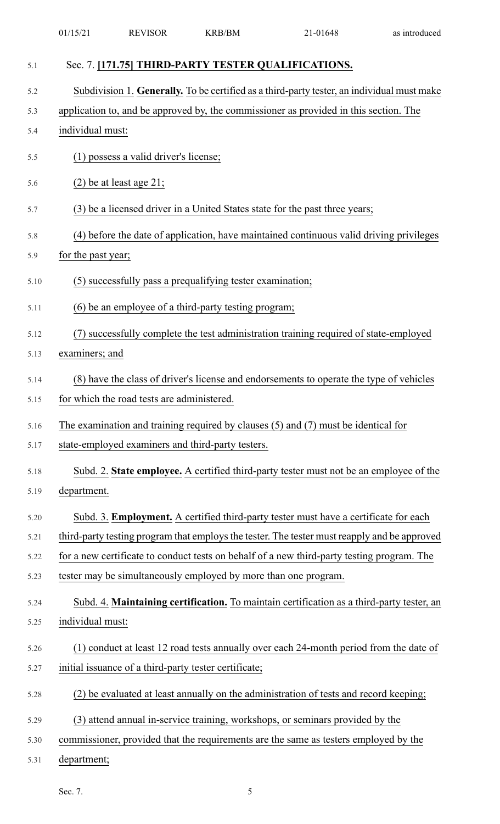| 5.1  | Sec. 7. [171.75] THIRD-PARTY TESTER QUALIFICATIONS.                                          |
|------|----------------------------------------------------------------------------------------------|
| 5.2  | Subdivision 1. Generally. To be certified as a third-party tester, an individual must make   |
| 5.3  | application to, and be approved by, the commissioner as provided in this section. The        |
| 5.4  | individual must:                                                                             |
| 5.5  | (1) possess a valid driver's license;                                                        |
| 5.6  | $(2)$ be at least age 21;                                                                    |
| 5.7  | (3) be a licensed driver in a United States state for the past three years;                  |
| 5.8  | (4) before the date of application, have maintained continuous valid driving privileges      |
| 5.9  | for the past year;                                                                           |
| 5.10 | (5) successfully pass a prequalifying tester examination;                                    |
| 5.11 | (6) be an employee of a third-party testing program;                                         |
| 5.12 | (7) successfully complete the test administration training required of state-employed        |
| 5.13 | examiners; and                                                                               |
| 5.14 | (8) have the class of driver's license and endorsements to operate the type of vehicles      |
| 5.15 | for which the road tests are administered.                                                   |
| 5.16 | The examination and training required by clauses $(5)$ and $(7)$ must be identical for       |
| 5.17 | state-employed examiners and third-party testers.                                            |
| 5.18 | Subd. 2. State employee. A certified third-party tester must not be an employee of the       |
| 5.19 | department.                                                                                  |
| 5.20 | Subd. 3. <b>Employment.</b> A certified third-party tester must have a certificate for each  |
| 5.21 | third-party testing program that employs the tester. The tester must reapply and be approved |
| 5.22 | for a new certificate to conduct tests on behalf of a new third-party testing program. The   |
| 5.23 | tester may be simultaneously employed by more than one program.                              |
| 5.24 | Subd. 4. Maintaining certification. To maintain certification as a third-party tester, an    |
| 5.25 | individual must:                                                                             |
| 5.26 | (1) conduct at least 12 road tests annually over each 24-month period from the date of       |
| 5.27 | initial issuance of a third-party tester certificate;                                        |
| 5.28 | (2) be evaluated at least annually on the administration of tests and record keeping;        |
| 5.29 | (3) attend annual in-service training, workshops, or seminars provided by the                |
| 5.30 | commissioner, provided that the requirements are the same as testers employed by the         |
| 5.31 | department;                                                                                  |

01/15/21 REVISOR KRB/BM 21-01648 as introduced

Sec. 7. 5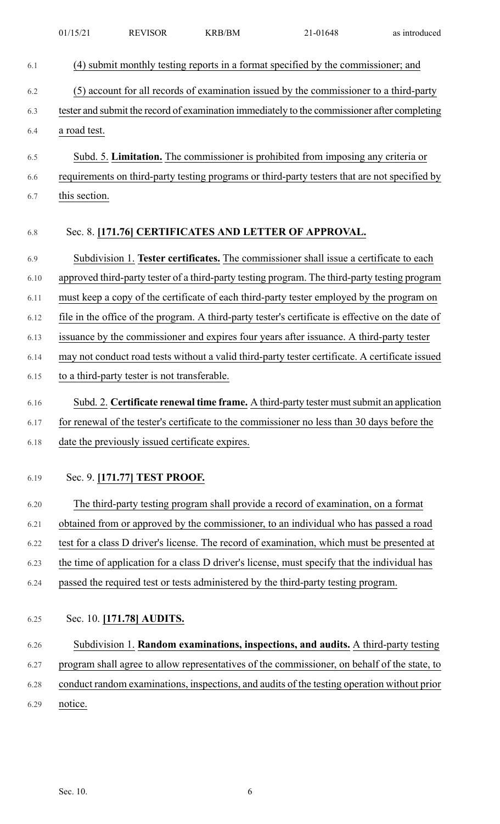|      | 01/15/21      | <b>REVISOR</b>                                  | <b>KRB/BM</b> | 21-01648                                                                                          | as introduced |
|------|---------------|-------------------------------------------------|---------------|---------------------------------------------------------------------------------------------------|---------------|
| 6.1  |               |                                                 |               | (4) submit monthly testing reports in a format specified by the commissioner; and                 |               |
| 6.2  |               |                                                 |               | (5) account for all records of examination issued by the commissioner to a third-party            |               |
| 6.3  |               |                                                 |               | tester and submit the record of examination immediately to the commissioner after completing      |               |
| 6.4  | a road test.  |                                                 |               |                                                                                                   |               |
| 6.5  |               |                                                 |               | Subd. 5. Limitation. The commissioner is prohibited from imposing any criteria or                 |               |
| 6.6  |               |                                                 |               | requirements on third-party testing programs or third-party testers that are not specified by     |               |
| 6.7  | this section. |                                                 |               |                                                                                                   |               |
| 6.8  |               |                                                 |               | Sec. 8. [171.76] CERTIFICATES AND LETTER OF APPROVAL.                                             |               |
| 6.9  |               |                                                 |               | Subdivision 1. Tester certificates. The commissioner shall issue a certificate to each            |               |
| 6.10 |               |                                                 |               | approved third-party tester of a third-party testing program. The third-party testing program     |               |
| 6.11 |               |                                                 |               | must keep a copy of the certificate of each third-party tester employed by the program on         |               |
| 6.12 |               |                                                 |               | file in the office of the program. A third-party tester's certificate is effective on the date of |               |
| 6.13 |               |                                                 |               | issuance by the commissioner and expires four years after issuance. A third-party tester          |               |
| 6.14 |               |                                                 |               | may not conduct road tests without a valid third-party tester certificate. A certificate issued   |               |
| 6.15 |               | to a third-party tester is not transferable.    |               |                                                                                                   |               |
| 6.16 |               |                                                 |               | Subd. 2. Certificate renewal time frame. A third-party tester must submit an application          |               |
| 6.17 |               |                                                 |               | for renewal of the tester's certificate to the commissioner no less than 30 days before the       |               |
| 6.18 |               | date the previously issued certificate expires. |               |                                                                                                   |               |
| 6.19 |               | Sec. 9. [171.77] TEST PROOF.                    |               |                                                                                                   |               |
| 6.20 |               |                                                 |               | The third-party testing program shall provide a record of examination, on a format                |               |
| 6.21 |               |                                                 |               | obtained from or approved by the commissioner, to an individual who has passed a road             |               |
| 6.22 |               |                                                 |               | test for a class D driver's license. The record of examination, which must be presented at        |               |
| 6.23 |               |                                                 |               | the time of application for a class D driver's license, must specify that the individual has      |               |
| 6.24 |               |                                                 |               | passed the required test or tests administered by the third-party testing program.                |               |
| 6.25 |               | Sec. 10. [171.78] AUDITS.                       |               |                                                                                                   |               |
| 6.26 |               |                                                 |               | Subdivision 1. Random examinations, inspections, and audits. A third-party testing                |               |
| 6.27 |               |                                                 |               | program shall agree to allow representatives of the commissioner, on behalf of the state, to      |               |
| 6.28 |               |                                                 |               | conduct random examinations, inspections, and audits of the testing operation without prior       |               |
| 6.29 | notice.       |                                                 |               |                                                                                                   |               |
|      |               |                                                 |               |                                                                                                   |               |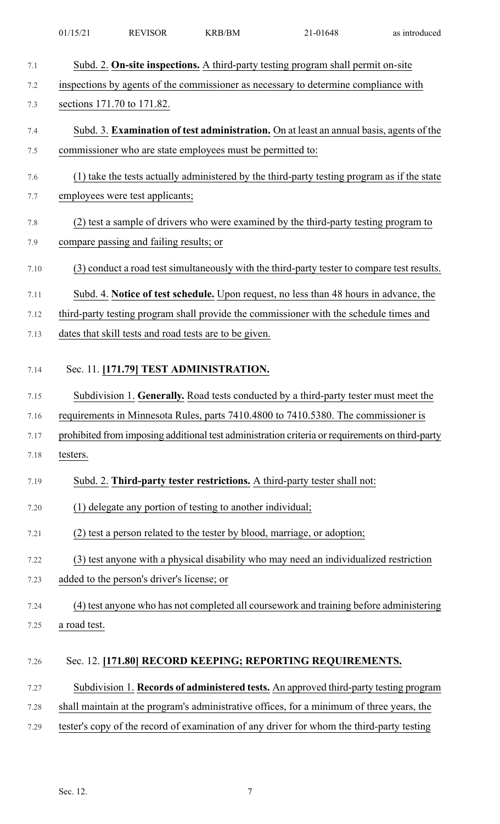| 7.1     | Subd. 2. On-site inspections. A third-party testing program shall permit on-site                |
|---------|-------------------------------------------------------------------------------------------------|
| 7.2     | inspections by agents of the commissioner as necessary to determine compliance with             |
| 7.3     | sections 171.70 to 171.82.                                                                      |
| 7.4     | Subd. 3. Examination of test administration. On at least an annual basis, agents of the         |
| 7.5     | commissioner who are state employees must be permitted to:                                      |
| 7.6     | (1) take the tests actually administered by the third-party testing program as if the state     |
| 7.7     | employees were test applicants;                                                                 |
| $7.8\,$ | (2) test a sample of drivers who were examined by the third-party testing program to            |
| 7.9     | compare passing and failing results; or                                                         |
| 7.10    | (3) conduct a road test simultaneously with the third-party tester to compare test results.     |
| 7.11    | Subd. 4. Notice of test schedule. Upon request, no less than 48 hours in advance, the           |
| 7.12    | third-party testing program shall provide the commissioner with the schedule times and          |
| 7.13    | dates that skill tests and road tests are to be given.                                          |
| 7.14    | Sec. 11. [171.79] TEST ADMINISTRATION.                                                          |
|         |                                                                                                 |
| 7.15    | Subdivision 1. Generally. Road tests conducted by a third-party tester must meet the            |
| 7.16    | requirements in Minnesota Rules, parts 7410.4800 to 7410.5380. The commissioner is              |
| 7.17    | prohibited from imposing additional test administration criteria or requirements on third-party |
| 7.18    | testers.                                                                                        |
| 7.19    | Subd. 2. Third-party tester restrictions. A third-party tester shall not:                       |
| 7.20    | (1) delegate any portion of testing to another individual;                                      |
| 7.21    | (2) test a person related to the tester by blood, marriage, or adoption;                        |
| 7.22    | (3) test anyone with a physical disability who may need an individualized restriction           |
| 7.23    | added to the person's driver's license; or                                                      |
| 7.24    | (4) test anyone who has not completed all coursework and training before administering          |
| 7.25    | a road test.                                                                                    |
| 7.26    | Sec. 12. [171.80] RECORD KEEPING; REPORTING REQUIREMENTS.                                       |
| 7.27    | Subdivision 1. Records of administered tests. An approved third-party testing program           |
| 7.28    | shall maintain at the program's administrative offices, for a minimum of three years, the       |
| 7.29    | tester's copy of the record of examination of any driver for whom the third-party testing       |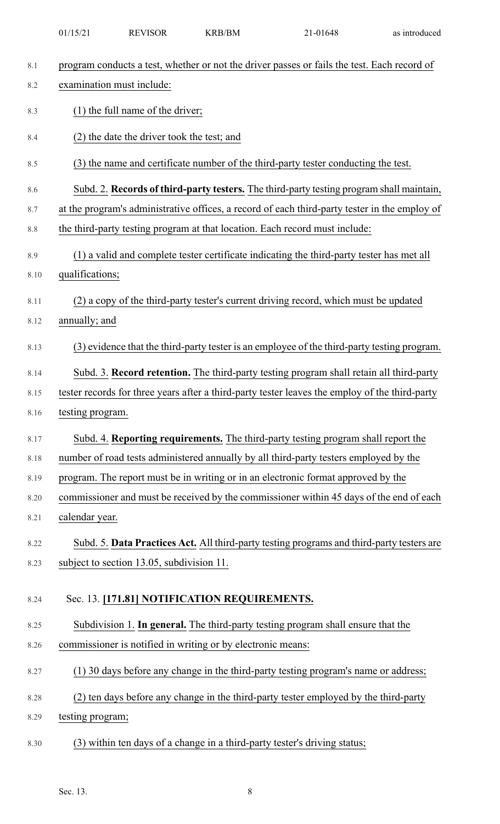| 8.1  | program conducts a test, whether or not the driver passes or fails the test. Each record of    |
|------|------------------------------------------------------------------------------------------------|
| 8.2  | examination must include:                                                                      |
| 8.3  | $(1)$ the full name of the driver;                                                             |
| 8.4  | (2) the date the driver took the test; and                                                     |
| 8.5  | (3) the name and certificate number of the third-party tester conducting the test.             |
| 8.6  | Subd. 2. Records of third-party testers. The third-party testing program shall maintain,       |
| 8.7  | at the program's administrative offices, a record of each third-party tester in the employ of  |
| 8.8  | the third-party testing program at that location. Each record must include:                    |
| 8.9  | (1) a valid and complete tester certificate indicating the third-party tester has met all      |
| 8.10 | qualifications;                                                                                |
| 8.11 | (2) a copy of the third-party tester's current driving record, which must be updated           |
| 8.12 | annually; and                                                                                  |
| 8.13 | (3) evidence that the third-party tester is an employee of the third-party testing program.    |
| 8.14 | Subd. 3. Record retention. The third-party testing program shall retain all third-party        |
| 8.15 | tester records for three years after a third-party tester leaves the employ of the third-party |
| 8.16 | testing program.                                                                               |
| 8.17 | Subd. 4. Reporting requirements. The third-party testing program shall report the              |
| 8.18 | number of road tests administered annually by all third-party testers employed by the          |
| 8.19 | program. The report must be in writing or in an electronic format approved by the              |
| 8.20 | commissioner and must be received by the commissioner within 45 days of the end of each        |
| 8.21 | calendar year.                                                                                 |
| 8.22 | Subd. 5. Data Practices Act. All third-party testing programs and third-party testers are      |
| 8.23 | subject to section 13.05, subdivision 11.                                                      |
| 8.24 | Sec. 13. [171.81] NOTIFICATION REQUIREMENTS.                                                   |
| 8.25 | Subdivision 1. In general. The third-party testing program shall ensure that the               |
| 8.26 | commissioner is notified in writing or by electronic means:                                    |
| 8.27 | (1) 30 days before any change in the third-party testing program's name or address;            |
| 8.28 | (2) ten days before any change in the third-party tester employed by the third-party           |
| 8.29 | testing program;                                                                               |
| 8.30 | (3) within ten days of a change in a third-party tester's driving status;                      |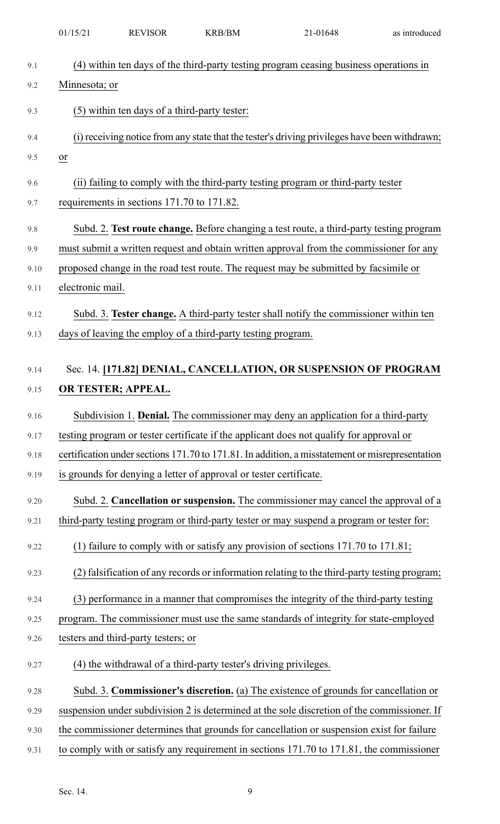|              | 01/15/21         | <b>REVISOR</b>                               | <b>KRB/BM</b>                                                      | 21-01648                                                                                                                                                                           | as introduced |
|--------------|------------------|----------------------------------------------|--------------------------------------------------------------------|------------------------------------------------------------------------------------------------------------------------------------------------------------------------------------|---------------|
| 9.1          |                  |                                              |                                                                    | (4) within ten days of the third-party testing program ceasing business operations in                                                                                              |               |
| 9.2          | Minnesota; or    |                                              |                                                                    |                                                                                                                                                                                    |               |
| 9.3          |                  | (5) within ten days of a third-party tester: |                                                                    |                                                                                                                                                                                    |               |
| 9.4          |                  |                                              |                                                                    | (i) receiving notice from any state that the tester's driving privileges have been withdrawn;                                                                                      |               |
| 9.5          | $\overline{or}$  |                                              |                                                                    |                                                                                                                                                                                    |               |
| 9.6          |                  |                                              |                                                                    | (ii) failing to comply with the third-party testing program or third-party tester                                                                                                  |               |
| 9.7          |                  | requirements in sections 171.70 to 171.82.   |                                                                    |                                                                                                                                                                                    |               |
|              |                  |                                              |                                                                    |                                                                                                                                                                                    |               |
| 9.8          |                  |                                              |                                                                    | Subd. 2. Test route change. Before changing a test route, a third-party testing program<br>must submit a written request and obtain written approval from the commissioner for any |               |
| 9.9          |                  |                                              |                                                                    | proposed change in the road test route. The request may be submitted by facsimile or                                                                                               |               |
| 9.10<br>9.11 | electronic mail. |                                              |                                                                    |                                                                                                                                                                                    |               |
|              |                  |                                              |                                                                    |                                                                                                                                                                                    |               |
| 9.12         |                  |                                              |                                                                    | Subd. 3. Tester change. A third-party tester shall notify the commissioner within ten                                                                                              |               |
| 9.13         |                  |                                              | days of leaving the employ of a third-party testing program.       |                                                                                                                                                                                    |               |
|              |                  |                                              |                                                                    |                                                                                                                                                                                    |               |
| 9.14         |                  |                                              |                                                                    | Sec. 14. [171.82] DENIAL, CANCELLATION, OR SUSPENSION OF PROGRAM                                                                                                                   |               |
| 9.15         |                  | OR TESTER; APPEAL.                           |                                                                    |                                                                                                                                                                                    |               |
| 9.16         |                  |                                              |                                                                    | Subdivision 1. Denial. The commissioner may deny an application for a third-party                                                                                                  |               |
| 9.17         |                  |                                              |                                                                    | testing program or tester certificate if the applicant does not qualify for approval or                                                                                            |               |
| 9.18         |                  |                                              |                                                                    | certification under sections 171.70 to 171.81. In addition, a misstatement or misrepresentation                                                                                    |               |
| 9.19         |                  |                                              | is grounds for denying a letter of approval or tester certificate. |                                                                                                                                                                                    |               |
| 9.20         |                  |                                              |                                                                    | Subd. 2. Cancellation or suspension. The commissioner may cancel the approval of a                                                                                                 |               |
| 9.21         |                  |                                              |                                                                    | third-party testing program or third-party tester or may suspend a program or tester for:                                                                                          |               |
| 9.22         |                  |                                              |                                                                    | (1) failure to comply with or satisfy any provision of sections $171.70$ to $171.81$ ;                                                                                             |               |
| 9.23         |                  |                                              |                                                                    | (2) falsification of any records or information relating to the third-party testing program;                                                                                       |               |
| 9.24         |                  |                                              |                                                                    | (3) performance in a manner that compromises the integrity of the third-party testing                                                                                              |               |
| 9.25         |                  |                                              |                                                                    | program. The commissioner must use the same standards of integrity for state-employed                                                                                              |               |
| 9.26         |                  | testers and third-party testers; or          |                                                                    |                                                                                                                                                                                    |               |
| 9.27         |                  |                                              | (4) the withdrawal of a third-party tester's driving privileges.   |                                                                                                                                                                                    |               |
| 9.28         |                  |                                              |                                                                    | Subd. 3. Commissioner's discretion. (a) The existence of grounds for cancellation or                                                                                               |               |
| 9.29         |                  |                                              |                                                                    | suspension under subdivision 2 is determined at the sole discretion of the commissioner. If                                                                                        |               |
| 9.30         |                  |                                              |                                                                    | the commissioner determines that grounds for cancellation or suspension exist for failure                                                                                          |               |
| 9.31         |                  |                                              |                                                                    | to comply with or satisfy any requirement in sections 171.70 to 171.81, the commissioner                                                                                           |               |